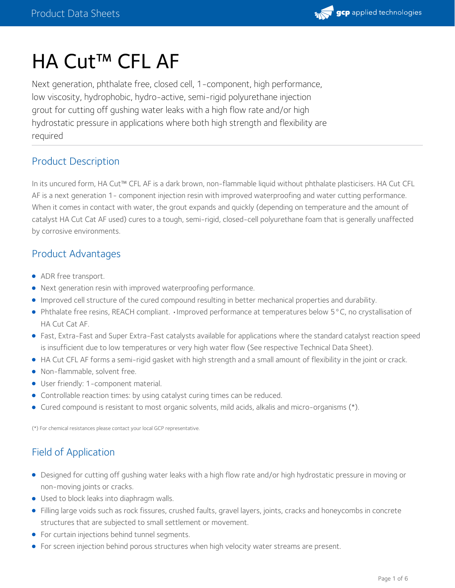

# HA Cut<sup>™</sup> CFL AF

Next generation, phthalate free, closed cell, 1-component, high performance, low viscosity, hydrophobic, hydro-active, semi-rigid polyurethane injection grout for cutting off gushing water leaks with a high flow rate and/or high hydrostatic pressure in applications where both high strength and flexibility are required

## Product Description

In its uncured form, HA Cut™ CFL AF is a dark brown, non-flammable liquid without phthalate plasticisers. HA Cut CFL AF is a next generation 1- component injection resin with improved waterproofing and water cutting performance. When it comes in contact with water, the grout expands and quickly (depending on temperature and the amount of catalyst HA Cut Cat AF used) cures to a tough, semi-rigid, closed-cell polyurethane foam that is generally unaffected by corrosive environments.

# Product Advantages

- ADR free transport.
- Next generation resin with improved waterproofing performance.
- Improved cell structure of the cured compound resulting in better mechanical properties and durability.
- Phthalate free resins, REACH compliant. •Improved performance at temperatures below 5°C, no crystallisation of HA Cut Cat AF.
- Fast, Extra-Fast and Super Extra-Fast catalysts available for applications where the standard catalyst reaction speed is insufficient due to low temperatures or very high water flow (See respective Technical Data Sheet).
- HA Cut CFL AF forms a semi-rigid gasket with high strength and a small amount of flexibility in the joint or crack.
- Non-flammable, solvent free.
- User friendly: 1-component material.
- Controllable reaction times: by using catalyst curing times can be reduced.
- Cured compound is resistant to most organic solvents, mild acids, alkalis and micro-organisms (\*).

(\*) For chemical resistances please contact your local GCP representative.

# Field of Application

- Designed for cutting off gushing water leaks with a high flow rate and/or high hydrostatic pressure in moving or non-moving joints or cracks.
- Used to block leaks into diaphragm walls.
- Filling large voids such as rock fissures, crushed faults, gravel layers, joints, cracks and honeycombs in concrete structures that are subjected to small settlement or movement.
- For curtain injections behind tunnel segments.
- For screen injection behind porous structures when high velocity water streams are present.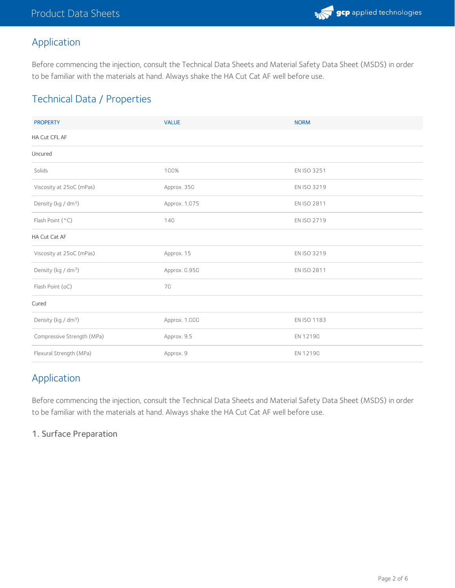

# Application

Before commencing the injection, consult the Technical Data Sheets and Material Safety Data Sheet (MSDS) in order to be familiar with the materials at hand. Always shake the HA Cut Cat AF well before use.

# Technical Data / Properties

| <b>PROPERTY</b>                 | <b>VALUE</b>  | <b>NORM</b> |  |  |  |
|---------------------------------|---------------|-------------|--|--|--|
| HA Cut CFL AF                   |               |             |  |  |  |
| Uncured                         |               |             |  |  |  |
| Solids                          | 100%          | EN ISO 3251 |  |  |  |
| Viscosity at 25oC (mPas)        | Approx. 350   | EN ISO 3219 |  |  |  |
| Density (kg / dm <sup>3</sup> ) | Approx. 1.075 | EN ISO 2811 |  |  |  |
| Flash Point (°C)                | 140           | EN ISO 2719 |  |  |  |
| HA Cut Cat AF                   |               |             |  |  |  |
| Viscosity at 25oC (mPas)        | Approx. 15    | EN ISO 3219 |  |  |  |
| Density (kg / dm <sup>3</sup> ) | Approx. 0.950 | EN ISO 2811 |  |  |  |
| Flash Point (oC)                | 70            |             |  |  |  |
| Cured                           |               |             |  |  |  |
| Density (kg / dm <sup>3</sup> ) | Approx. 1.000 | EN ISO 1183 |  |  |  |
| Compressive Strength (MPa)      | Approx. 9.5   | EN 12190    |  |  |  |
| Flexural Strength (MPa)         | Approx. 9     | EN 12190    |  |  |  |

# Application

Before commencing the injection, consult the Technical Data Sheets and Material Safety Data Sheet (MSDS) in order to be familiar with the materials at hand. Always shake the HA Cut Cat AF well before use.

#### 1. Surface Preparation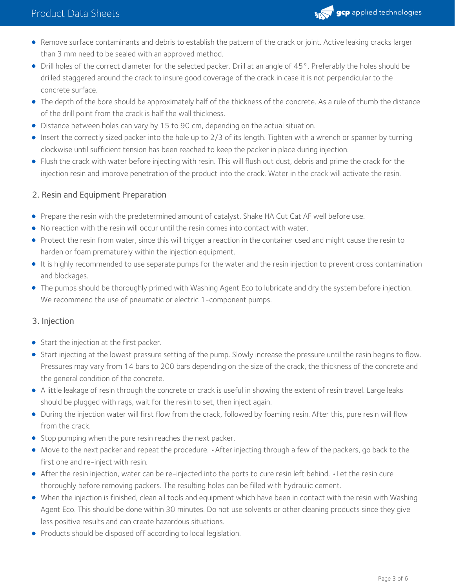

- Remove surface contaminants and debris to establish the pattern of the crack or joint. Active leaking cracks larger than 3 mm need to be sealed with an approved method.
- Drill holes of the correct diameter for the selected packer. Drill at an angle of 45°. Preferably the holes should be drilled staggered around the crack to insure good coverage of the crack in case it is not perpendicular to the concrete surface.
- The depth of the bore should be approximately half of the thickness of the concrete. As a rule of thumb the distance of the drill point from the crack is half the wall thickness.
- Distance between holes can vary by 15 to 90 cm, depending on the actual situation.
- Insert the correctly sized packer into the hole up to 2/3 of its length. Tighten with a wrench or spanner by turning clockwise until sufficient tension has been reached to keep the packer in place during injection.
- Flush the crack with water before injecting with resin. This will flush out dust, debris and prime the crack for the injection resin and improve penetration of the product into the crack. Water in the crack will activate the resin.

#### 2. Resin and Equipment Preparation

- **•** Prepare the resin with the predetermined amount of catalyst. Shake HA Cut Cat AF well before use.
- No reaction with the resin will occur until the resin comes into contact with water.
- Protect the resin from water, since this will trigger a reaction in the container used and might cause the resin to harden or foam prematurely within the injection equipment.
- It is highly recommended to use separate pumps for the water and the resin injection to prevent cross contamination and blockages.
- The pumps should be thoroughly primed with Washing Agent Eco to lubricate and dry the system before injection. We recommend the use of pneumatic or electric 1-component pumps.

#### 3. Injection

- Start the injection at the first packer.
- Start injecting at the lowest pressure setting of the pump. Slowly increase the pressure until the resin begins to flow. Pressures may vary from 14 bars to 200 bars depending on the size of the crack, the thickness of the concrete and the general condition of the concrete.
- A little leakage of resin through the concrete or crack is useful in showing the extent of resin travel. Large leaks should be plugged with rags, wait for the resin to set, then inject again.
- During the injection water will first flow from the crack, followed by foaming resin. After this, pure resin will flow from the crack.
- Stop pumping when the pure resin reaches the next packer.
- Move to the next packer and repeat the procedure. •After injecting through a few of the packers, go back to the first one and re-inject with resin.
- After the resin injection, water can be re-injected into the ports to cure resin left behind. •Let the resin cure thoroughly before removing packers. The resulting holes can be filled with hydraulic cement.
- When the injection is finished, clean all tools and equipment which have been in contact with the resin with Washing Agent Eco. This should be done within 30 minutes. Do not use solvents or other cleaning products since they give less positive results and can create hazardous situations.
- Products should be disposed off according to local legislation.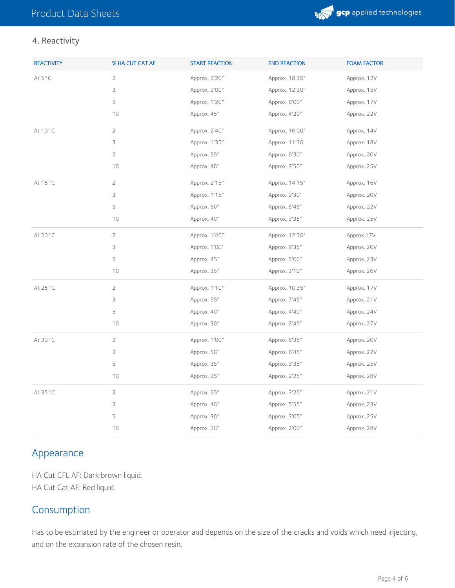

#### 4. Reactivity

| <b>REACTIVITY</b> | % HA CUT CAT AF | <b>START REACTION</b> | <b>END REACTION</b> | <b>FOAM FACTOR</b> |
|-------------------|-----------------|-----------------------|---------------------|--------------------|
| At 5°C            | $\sqrt{2}$      | Approx. 3'20"         | Approx. 18'30"      | Approx. 12V        |
|                   | 3               | Approx. 2'00"         | Approx. 12'30"      | Approx. 15V        |
|                   | 5               | Approx. 1'20"         | Approx. 8'00"       | Approx. 17V        |
|                   | 10              | Approx. 45"           | Approx. 4'20"       | Approx. 22V        |
| At 10°C           | $\overline{2}$  | Approx. 2'40"         | Approx. 16'00"      | Approx. 14V        |
|                   | 3               | Approx. 1'35"         | Approx. 11'30'      | Approx. 18V        |
|                   | 5               | Approx. 55"           | Approx. 6'30"       | Approx. 20V        |
|                   | 10              | Approx. 40"           | Approx. 3'50"       | Approx. 25V        |
| At 15°C           | $\overline{2}$  | Approx. 2'15"         | Approx. 14'15"      | Approx. 16V        |
|                   | 3               | Approx. 1'15"         | Approx. 9'30'       | Approx. 20V        |
|                   | 5               | Approx. 50"           | Approx. 5'45"       | Approx. 22V        |
|                   | 10              | Approx. 40"           | Approx. 3'35"       | Approx. 25V        |
| At 20°C           | $\overline{2}$  | Approx. 1'40"         | Approx. 12'30"      | Approx.17V         |
|                   | 3               | Approx. 1'00'         | Approx. 8'35"       | Approx. 20V        |
|                   | 5               | Approx. 45"           | Approx. 5'00"       | Approx. 23V        |
|                   | 10              | Approx. 35"           | Approx. 3'10"       | Approx. 26V        |
| At 25°C           | $\overline{2}$  | Approx. 1'10"         | Approx. 10'35"      | Approx. 17V        |
|                   | 3               | Approx. 55"           | Approx. 7'45"       | Approx. 21V        |
|                   | 5               | Approx. 40"           | Approx. 4'40"       | Approx. 24V        |
|                   | 10              | Approx. 30"           | Approx. 2'45"       | Approx. 27V        |
| At 30°C           | $\overline{2}$  | Approx. 1'00"         | Approx. 8'35"       | Approx. 20V        |
|                   | 3               | Approx. 50"           | Approx. 6'45"       | Approx. 22V        |
|                   | 5               | Approx. 35"           | Approx. 3'35"       | Approx. 25V        |
|                   | $10$            | Approx. 25"           | Approx. 2'25"       | Approx. 28V        |
| At 35°C           | $\overline{2}$  | Approx. 55"           | Approx. 7'25"       | Approx. 21V        |
|                   | 3               | Approx. 40"           | Approx. 5'55"       | Approx. 23V        |
|                   | 5               | Approx. 30"           | Approx. 3'05"       | Approx. 25V        |
|                   | 10              | Approx. 20"           | Approx. 2'00"       | Approx. 28V        |

## Appearance

HA Cut CFL AF: Dark brown liquid. HA Cut Cat AF: Red liquid.

## Consumption

Has to be estimated by the engineer or operator and depends on the size of the cracks and voids which need injecting, and on the expansion rate of the chosen resin.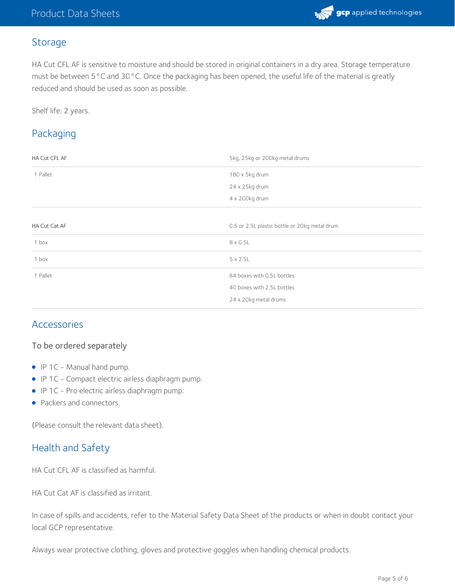## Storage

HA Cut CFL AF is sensitive to moisture and should be stored in original containers in a dry area. Storage temperature must be between 5°C and 30°C. Once the packaging has been opened, the useful life of the material is greatly reduced and should be used as soon as possible.

Shelf life: 2 years.

# Packaging

| HA Cut CFL AF | 5kg, 25kg or 200kg metal drums                |  |
|---------------|-----------------------------------------------|--|
| 1 Pallet      | 180 x 5kg drum                                |  |
|               | 24 x 25kg drum                                |  |
|               | 4 x 200kg drum                                |  |
|               |                                               |  |
| HA Cut Cat AF | 0.5 or 2.5L plastic bottle or 20kg metal drum |  |
| 1 box         | 8 x 0.5L                                      |  |
| 1 box         | $5 \times 2.5$ L                              |  |
| 1 Pallet      | 84 boxes with 0.5L bottles                    |  |
|               | 40 boxes with 2.5L bottles                    |  |
|               | 24 x 20kg metal drums                         |  |

## Accessories

#### To be ordered separately

- IP 1C Manual hand pump.
- IP 1C Compact electric airless diaphragm pump.
- IP 1C Pro electric airless diaphragm pump.
- Packers and connectors.

(Please consult the relevant data sheet).

## Health and Safety

HA Cut CFL AF is classified as harmful.

HA Cut Cat AF is classified as irritant.

In case of spills and accidents, refer to the Material Safety Data Sheet of the products or when in doubt contact your local GCP representative.

Always wear protective clothing, gloves and protective goggles when handling chemical products.